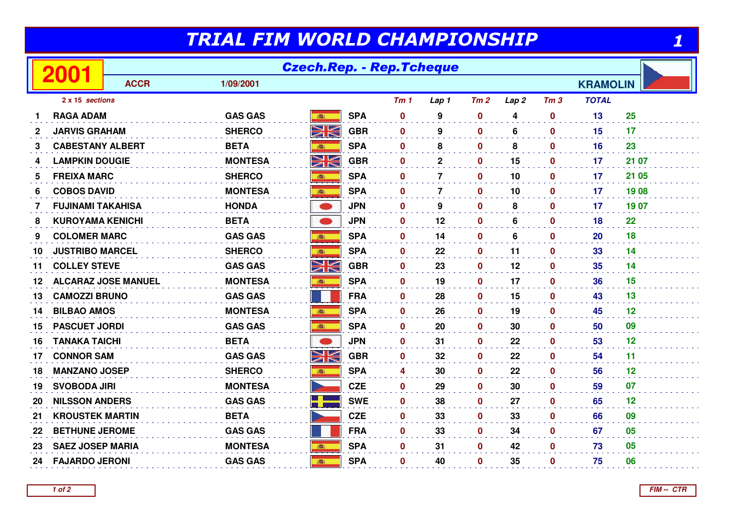## TRIAL FIM WORLD CHAMPIONSHIP

| TRIAL FIM WORLD CHAMPIONSHIP            |                            |                |                 |            |                 |                |                  |                  |                 |                 |       |
|-----------------------------------------|----------------------------|----------------|-----------------|------------|-----------------|----------------|------------------|------------------|-----------------|-----------------|-------|
| <b>Czech.Rep. - Rep.Tcheque</b><br>2001 |                            |                |                 |            |                 |                |                  |                  |                 |                 |       |
|                                         | <b>ACCR</b>                | 1/09/2001      |                 |            |                 |                |                  |                  |                 | <b>KRAMOLIN</b> |       |
| 2 x 15 sections                         |                            |                |                 |            | Tm <sub>1</sub> | Lap 1          | Tm2              | Lap <sub>2</sub> | Tm <sub>3</sub> | <b>TOTAL</b>    |       |
| <b>RAGA ADAM</b><br>1                   |                            | <b>GAS GAS</b> | <b>BEST</b>     | <b>SPA</b> | $\bf{0}$        | 9              | $\mathbf 0$      | 4                | $\mathbf 0$     | 13              | 25    |
| <b>JARVIS GRAHAM</b><br>2               |                            | <b>SHERCO</b>  | NK<br>ZK        | <b>GBR</b> | $\mathbf 0$     | 9              | $\mathbf 0$      | 6                | $\mathbf 0$     | 15              | 17    |
| 3                                       | <b>CABESTANY ALBERT</b>    | <b>BETA</b>    | ●               | <b>SPA</b> | $\mathbf 0$     | 8              | $\mathbf 0$      | 8                | $\mathbf 0$     | 16              | 23    |
| 4                                       | <b>LAMPKIN DOUGIE</b>      | <b>MONTESA</b> | VK<br>ZN        | <b>GBR</b> | $\mathbf 0$     | $\mathbf{2}$   | $\mathbf 0$      | 15               | $\mathbf 0$     | 17              | 21 07 |
| <b>FREIXA MARC</b><br>5                 |                            | <b>SHERCO</b>  | 高               | <b>SPA</b> | 0               | $\overline{7}$ | $\mathbf 0$      | 10               | $\mathbf 0$     | 17              | 21 05 |
| <b>COBOS DAVID</b><br>6                 |                            | <b>MONTESA</b> |                 | <b>SPA</b> | $\bf{0}$        | $\overline{7}$ | $\mathbf 0$      | 10               | $\mathbf 0$     | 17              | 1908  |
| 7                                       | <b>FUJINAMI TAKAHISA</b>   | <b>HONDA</b>   | $\bullet$       | <b>JPN</b> | $\mathbf 0$     | 9              | $\mathbf 0$      | 8                | $\mathbf 0$     | 17              | 1907  |
| 8                                       | <b>KUROYAMA KENICHI</b>    | <b>BETA</b>    |                 | <b>JPN</b> | $\mathbf 0$     | 12             | $\mathbf 0$      | 6                | $\mathbf 0$     | 18              | 22    |
| <b>COLOMER MARC</b><br>9                |                            | <b>GAS GAS</b> |                 | <b>SPA</b> | $\mathbf{0}$    | 14             | $\mathbf 0$      | 6                | $\mathbf 0$     | <b>20</b>       | 18    |
| 10                                      | <b>JUSTRIBO MARCEL</b>     | <b>SHERCO</b>  | <b>BASE</b>     | <b>SPA</b> | $\mathbf 0$     | 22             | $\mathbf 0$      | 11               | $\mathbf 0$     | 33              | 14    |
| <b>COLLEY STEVE</b><br>11               |                            | <b>GAS GAS</b> | <u>NK</u>       | <b>GBR</b> | $\mathbf{0}$    | 23             | $\mathbf 0$      | 12               | $\mathbf 0$     | 35              | 14    |
| 12                                      | <b>ALCARAZ JOSE MANUEL</b> | <b>MONTESA</b> | 瓣               | <b>SPA</b> | $\bf{0}$        | 19             | $\mathbf 0$      | 17               | $\mathbf{0}$    | 36              | 15    |
| <b>CAMOZZI BRUNO</b><br>13              |                            | <b>GAS GAS</b> |                 | <b>FRA</b> | $\bf{0}$        | 28             | $\boldsymbol{0}$ | 15               | $\mathbf 0$     | 43              | 13    |
| <b>BILBAO AMOS</b><br>14                |                            | <b>MONTESA</b> |                 | <b>SPA</b> | $\bf{0}$        | 26             | $\mathbf 0$      | 19               | $\mathbf 0$     | 45              | 12    |
| <b>PASCUET JORDI</b><br>15              |                            | <b>GAS GAS</b> |                 | <b>SPA</b> | 0               | 20             | $\mathbf 0$      | 30               | $\mathbf 0$     | 50              | 09    |
| <b>TANAKA TAICHI</b><br>16              |                            | <b>BETA</b>    | $\bullet$       | <b>JPN</b> | $\mathbf 0$     | 31             | $\mathbf 0$      | 22               | $\mathbf 0$     | 53              | 12    |
| <b>CONNOR SAM</b><br>17                 |                            | <b>GAS GAS</b> | NK<br>ZK        | <b>GBR</b> | 0               | 32             | $\mathbf 0$      | 22               | $\mathbf 0$     | 54              | 11    |
| 18                                      | <b>MANZANO JOSEP</b>       | <b>SHERCO</b>  | 1               | <b>SPA</b> | 4               | 30             | $\mathbf 0$      | 22               | $\mathbf 0$     | 56              | 12    |
| <b>SVOBODA JIRI</b><br>19               |                            | <b>MONTESA</b> | <b>Separate</b> | <b>CZE</b> | $\mathbf 0$     | 29             | $\mathbf 0$      | 30               | $\mathbf 0$     | 59              | 07    |
| 20                                      | <b>NILSSON ANDERS</b>      | <b>GAS GAS</b> | ۳Ē              | <b>SWE</b> | $\bf{0}$        | 38             | $\mathbf 0$      | 27               | $\mathbf 0$     | 65              | 12    |
| 21                                      | <b>KROUSTEK MARTIN</b>     | <b>BETA</b>    |                 | <b>CZE</b> | $\bf{0}$        | 33             | $\mathbf 0$      | 33               | $\mathbf{0}$    | 66              | 09    |
| 22                                      | <b>BETHUNE JEROME</b>      | <b>GAS GAS</b> |                 | <b>FRA</b> | 0               | 33             | $\mathbf 0$      | 34               | $\mathbf 0$     | 67              | 05    |
| 23                                      | <b>SAEZ JOSEP MARIA</b>    | <b>MONTESA</b> | 高               | <b>SPA</b> | $\mathbf 0$     | 31             | $\mathbf 0$      | 42               | $\mathbf 0$     | 73              | 05    |
| 24                                      | <b>FAJARDO JERONI</b>      | <b>GAS GAS</b> | 講               | <b>SPA</b> | 0               | 40             | $\mathbf 0$      | 35               | $\mathbf 0$     | 75              | 06    |
|                                         |                            |                |                 |            |                 |                |                  |                  |                 |                 |       |